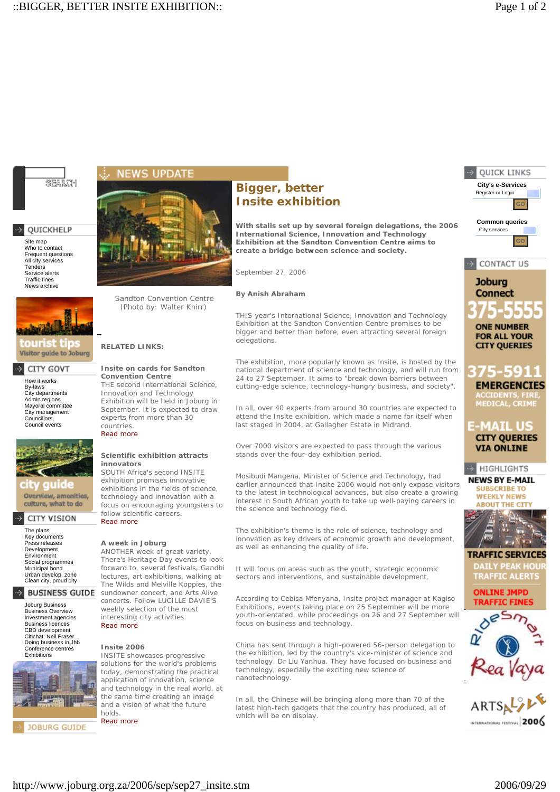

# QUICKHELP

Site map<br>Who to contact Frequent questions All city services Tenders Service alerts Traffic fines News archive



**Visitor guide to Joburg** 

### CITY GOVT

How it works By-laws City departments Admin regions Mayoral committee City management Councillors Council events



uide Overview, amenities, culture, what to do

#### -5 CITY VISION

The plans Key documents Press releases Development Environment Social programmes Municipal bond Urban develop. zone Clean city, proud city

### **BUSINESS GUIDE**

Joburg Business Business Overview Investment agencies Business licences CBD development Citichat: Neil Fraser Doing business in Jhb Conference centres Exhibitions



**JOBURG GUIDE** 



Sandton Convention Centre *(Photo by: Walter Knirr)*

**RELATED LINKS:**

countries. Read more

**innovators**

Read more

Read more

**Insite 2006**

holds. Read more

**Insite on cards for Sandton Convention Centre**

THE second International Science, Innovation and Technology Exhibition will be held in Joburg in September. It is expected to draw experts from more than 30

**Scientific exhibition attracts** 

SOUTH Africa's second INSITE exhibition promises innovative exhibitions in the fields of science, technology and innovation with a focus on encouraging youngsters to

ANOTHER week of great variety. There's Heritage Day events to look forward to, several festivals, Gandhi lectures, art exhibitions, walking at The Wilds and Melville Koppies, the sundowner concert, and Arts Alive concerts. Follow LUCILLE DAVIE'S weekly selection of the most interesting city activities.

INSITE showcases progressive solutions for the world's problems today, demonstrating the practical application of innovation, science and technology in the real world, at the same time creating an image and a vision of what the future

follow scientific careers.

**A week in Joburg**

# **Bigger, better Insite exhibition**

**With stalls set up by several foreign delegations, the 2006 International Science, Innovation and Technology Exhibition at the Sandton Convention Centre aims to create a bridge between science and society.**

*September 27, 2006*

**By Anish Abraham**

THIS year's International Science, Innovation and Technology Exhibition at the Sandton Convention Centre promises to be bigger and better than before, even attracting several foreign delegations.

The exhibition, more popularly known as Insite, is hosted by the national department of science and technology, and will run from 24 to 27 September. It aims to "break down barriers between cutting-edge science, technology-hungry business, and society".

In all, over 40 experts from around 30 countries are expected to attend the Insite exhibition, which made a name for itself when last staged in 2004, at Gallagher Estate in Midrand.

Over 7000 visitors are expected to pass through the various stands over the four-day exhibition period.

Mosibudi Mangena, Minister of Science and Technology, had earlier announced that Insite 2006 would not only expose visitors to the latest in technological advances, but also create a growing interest in South African youth to take up well-paying careers in the science and technology field.

The exhibition's theme is the role of science, technology and innovation as key drivers of economic growth and development, as well as enhancing the quality of life.

It will focus on areas such as the youth, strategic economic sectors and interventions, and sustainable development.

According to Cebisa Mfenyana, Insite project manager at Kagiso Exhibitions, events taking place on 25 September will be more youth-orientated, while proceedings on 26 and 27 September will focus on business and technology.

China has sent through a high-powered 56-person delegation to the exhibition, led by the country's vice-minister of science and technology, Dr Liu Yanhua. They have focused on business and technology, especially the exciting new science of nanotechnology.

In all, the Chinese will be bringing along more than 70 of the latest high-tech gadgets that the country has produced, all of which will be on display.



**QUICK LINKS** 

**TRAFFIC SERVICES** DAILY PEAK HOUI **TRAFFIC ALERTS** 

**ONLINE JMPD TRAFFIC FINES** 





http://www.joburg.org.za/2006/sep/sep27\_insite.stm 2006/09/29